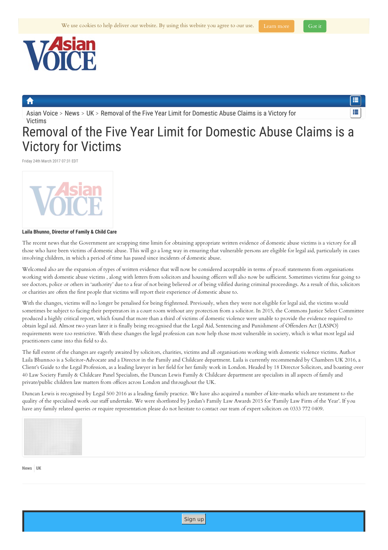<span id="page-0-0"></span>

[Asian](https://www.asian-voice.com/) Voice > [News](https://www.asian-voice.com/News) > [UK](https://www.asian-voice.com/News/UK) > Removal of the Five Year Limit for [Domestic](#page-0-0) Abuse Claims is a Victory for Victims

## 疆

## Removal of the Five Year Limit for Domestic Abuse Claims is a Victory for Victims

Friday 24th March 2017 07:31 EDT



## **Laila Bhunno, Director of Family & Child Care**

The recent news that the Government are scrapping time limits for obtaining appropriate written evidence of domestic abuse victims is a victory for all those who have been victims of domestic abuse. This will go a long way in ensuring that vulnerable persons are eligible for legal aid, particularly in cases involving children, in which a period of time has passed since incidents of domestic abuse.

Welcomed also are the expansion of types of written evidence that will now be considered acceptable in terms of proof: statements from organisations working with domestic abuse victims , along with letters from solicitors and housing officers will also now be sufficient. Sometimes victims fear going to see doctors, police or others in 'authority' due to a fear of not being believed or of being vilified during criminal proceedings. As a result of this, solicitors or charities are often the first people that victims will report their experience of domestic abuse to.

With the changes, victims will no longer be penalised for being frightened. Previously, when they were not eligible for legal aid, the victims would sometimes be subject to facing their perpetrators in a court room without any protection from a solicitor. In 2015, the Commons Justice Select Committee produced a highly critical report, which found that more than a third of victims of domestic violence were unable to provide the evidence required to obtain legal aid. Almost two years later it is finally being recognised that the Legal Aid, Sentencing and Punishment of Offenders Act (LASPO) requirements were too restrictive. With these changes the legal profession can now help those most vulnerable in society, which is what most legal aid practitioners came into this field to do.

The full extent of the changes are eagerly awaited by solicitors, charities, victims and all organisations working with domestic violence victims. Author Laila Bhunnoo is a Solicitor-Advocate and a Director in the Family and Childcare department. Laila is currently recommended by Chambers UK 2016, a Client's Guide to the Legal Profession, as a leading lawyer in her field for her family work in London. Headed by 18 Director Solicitors, and boasting over 40 Law Society Family & Childcare Panel Specialists, the Duncan Lewis Family & Childcare department are specialists in all aspects of family and private/public children law matters from offices across London and throughout the UK.

Duncan Lewis is recognised by Legal 500 2016 as a leading family practice. We have also acquired a number of kite-marks which are testament to the quality of the specialised work our staff undertake. We were shortlisted by Jordan's Family Law Awards 2015 for 'Family Law Firm of the Year'. If you have any family related queries or require representation please do not hesitate to contact our team of expert solicitors on 0333 772 0409.



**[News](https://www.asian-voice.com/News) [UK](https://www.asian-voice.com/News/UK)**